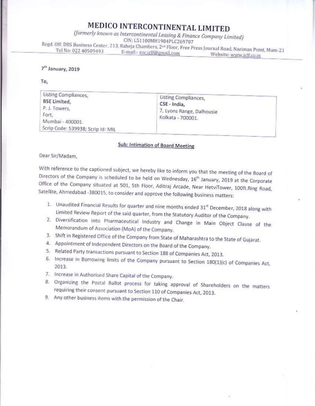## MEDICO INTERCONTINENTAL LIMITED

(formerly known as Intercontinental Leasing & Finance Company Limited) CIN: L51100MH1984PLC269707 Regd. Off: DBS Business Center, 213, Raheja Chambers, 2<sup>nd</sup> Floor, Free Press Journal Road, Nariman Point, Mum-21

Tel No: 022 40509493 E-mail:- roc.iclf@gmail.com Website: www.iclf.co.in

## 7<sup>th</sup> January, 2019

To,

| Listing Compliances,<br><b>BSE Limited,</b><br>P.J. Towers,<br>Fort,<br>Mumbai - 400001.<br>Scrip Code: 539938; Scrip Id: MIL | Listing Compliances,<br>CSE - India,<br>7, Lyons Range, Dalhousie<br>Kolkata - 700001. |  |
|-------------------------------------------------------------------------------------------------------------------------------|----------------------------------------------------------------------------------------|--|
|-------------------------------------------------------------------------------------------------------------------------------|----------------------------------------------------------------------------------------|--|

## Sub: Intimation of Board Meeting

Dear Sir/Madam.

With reference to the captioned subject, we hereby like to inform you that the meeting of the Board of Directors of the Company is scheduled to be held on Wednesday, 16<sup>th</sup> January, 2019 at the Corporate Office of the Company situated at 501, 5th Floor, Aditraj Arcade, Near HetviTower, 100ft.Ring Road, Satellite, Ahmedabad -380015, to consider and approve the following business matters:

- 1. Unaudited Financial Results for quarter and nine months ended 31<sup>st</sup> December, 2018 along with Limited Review Report of the said quarter, from the Statutory Auditor of the Company.
- 2. Diversification into Pharmaceutical Industry and Change in Main Object Clause of the Memorandum of Association (MoA) of the Company.
- 3. Shift in Registered Office of the Company from State of Maharashtra to the State of Gujarat.
- 4. Appointment of Independent Directors on the Board of the Company.
- 5. Related Party transactions pursuant to Section 188 of Companies Act, 2013.
- 6. Increase in Borrowing limits of the Company pursuant to Section 180(1)(c) of Companies Act, 2013.
- 7. Increase in Authorised Share Capital of the Company.
- 8. Organizing the Postal Ballot process for taking approval of Shareholders on the matters requiring their consent pursuant to Section 110 of Companies Act, 2013.
- 9. Any other business items with the permission of the Chair.